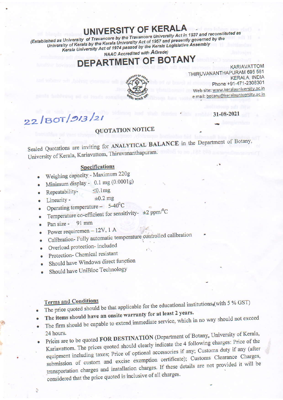## UNIVERSITY OF KERALA

(Established as University of Travancore by the Travancore University Act in 1937 and reconstituted as University of Kerala by the Kerala University Act of 1957 and presently governed by the Kerala University Act of 1974 passed by the Kerala Legislative Assembly **NAAC Accredited with AGrade)** 

## **EPARTMENT OF BOTANY**



**KARIAVATTOM** THIRUVANANTHAPURAM 695 581 **KERALA, INDIA** Phone +91-471-2308301 Web site: www.keralauniversity.ac.in e mail: botany@keralauniversity.ac.in

31-08-2021

# $22/BOT/913/21$

### **QUOTATION NOTICE**

Sealed Quotations are inviting for ANALYTICAL BALANCE in the Department of Botany, University of Kerala, Kariavattom, Thiruvananthapuram.

#### **Specifications**

- Weighing capacity Maximum 220g
- Minimum display 0.1 mg (0.0001g)
- $\leq 0.1$ mg Repeatability-
- Linearity - $\bullet$
- Operating temperature  $5-40^0C$
- Temperature co-efficient for sensitivity-  $\pm 2$  ppm/<sup>0</sup>C

 $\pm 0.2$  mg

- Pan size - $91$  mm
- Power requiremen 12V, 1 A
- Calibration-Fully automatic temperature controlled calibration
- Overload protection-included
- Protection- Chemical resistant
- Should have Windows direct function
- Should have UniBloc Technology

#### **Terms and Conditions**

 $\mathcal{L}_{\mathcal{G}}$ 

- The price quoted should be that applicable for the educational institutions, (with 5 % GST)
- The items should have an onsite warranty for at least 2 years.
- The firm should be capable to extend immediate service, which in no way should not exceed
- Prices are to be quoted FOR DESTINATION (Department of Botany, University of Kerala, Kariavattom. The prices quoted should clearly indicate the 4 following charges: Price of the equipment including taxes; Price of optional accessories if any; Customs duty if any (after submission of custom and excise exemption certificate); Customs Clearance Charges, transportation charges and installation charges. If these details are not provided it will be considered that the price quoted is inclusive of all charges.